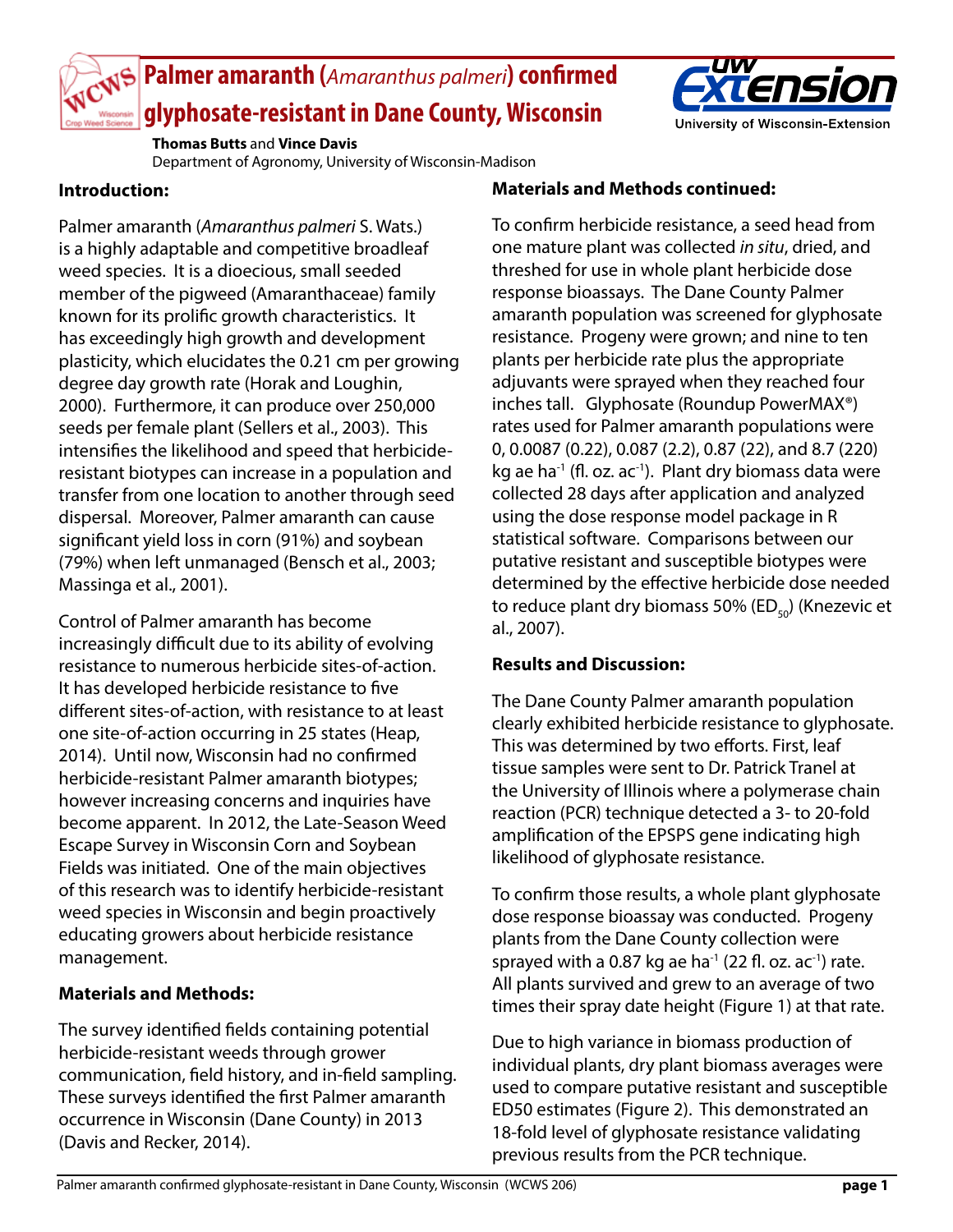

# **Palmer amaranth (***Amaranthus palmeri***) confirmed glyphosate-resistant in Dane County, Wisconsin**



**Thomas Butts** and **Vince Davis**

Department of Agronomy, University of Wisconsin-Madison

#### **Introduction:**

Palmer amaranth (*Amaranthus palmeri* S. Wats.) is a highly adaptable and competitive broadleaf weed species. It is a dioecious, small seeded member of the pigweed (Amaranthaceae) family known for its prolific growth characteristics. It has exceedingly high growth and development plasticity, which elucidates the 0.21 cm per growing degree day growth rate (Horak and Loughin, 2000). Furthermore, it can produce over 250,000 seeds per female plant (Sellers et al., 2003). This intensifies the likelihood and speed that herbicideresistant biotypes can increase in a population and transfer from one location to another through seed dispersal. Moreover, Palmer amaranth can cause significant yield loss in corn (91%) and soybean (79%) when left unmanaged (Bensch et al., 2003; Massinga et al., 2001).

Control of Palmer amaranth has become increasingly difficult due to its ability of evolving resistance to numerous herbicide sites-of-action. It has developed herbicide resistance to five different sites-of-action, with resistance to at least one site-of-action occurring in 25 states (Heap, 2014). Until now, Wisconsin had no confirmed herbicide-resistant Palmer amaranth biotypes; however increasing concerns and inquiries have become apparent. In 2012, the Late-Season Weed Escape Survey in Wisconsin Corn and Soybean Fields was initiated. One of the main objectives of this research was to identify herbicide-resistant weed species in Wisconsin and begin proactively educating growers about herbicide resistance management.

## **Materials and Methods:**

The survey identified fields containing potential herbicide-resistant weeds through grower communication, field history, and in-field sampling. These surveys identified the first Palmer amaranth occurrence in Wisconsin (Dane County) in 2013 (Davis and Recker, 2014).

## **Materials and Methods continued:**

To confirm herbicide resistance, a seed head from one mature plant was collected *in situ*, dried, and threshed for use in whole plant herbicide dose response bioassays. The Dane County Palmer amaranth population was screened for glyphosate resistance. Progeny were grown; and nine to ten plants per herbicide rate plus the appropriate adjuvants were sprayed when they reached four inches tall. Glyphosate (Roundup PowerMAX®) rates used for Palmer amaranth populations were 0, 0.0087 (0.22), 0.087 (2.2), 0.87 (22), and 8.7 (220) kg ae ha<sup>-1</sup> (fl. oz. ac<sup>-1</sup>). Plant dry biomass data were collected 28 days after application and analyzed using the dose response model package in R statistical software. Comparisons between our putative resistant and susceptible biotypes were determined by the effective herbicide dose needed to reduce plant dry biomass 50% (ED $_{50}$ ) (Knezevic et al., 2007).

## **Results and Discussion:**

The Dane County Palmer amaranth population clearly exhibited herbicide resistance to glyphosate. This was determined by two efforts. First, leaf tissue samples were sent to Dr. Patrick Tranel at the University of Illinois where a polymerase chain reaction (PCR) technique detected a 3- to 20-fold amplification of the EPSPS gene indicating high likelihood of glyphosate resistance.

To confirm those results, a whole plant glyphosate dose response bioassay was conducted. Progeny plants from the Dane County collection were sprayed with a 0.87 kg ae ha<sup>-1</sup> (22 fl. oz. ac<sup>-1</sup>) rate. All plants survived and grew to an average of two times their spray date height (Figure 1) at that rate.

Due to high variance in biomass production of individual plants, dry plant biomass averages were used to compare putative resistant and susceptible ED50 estimates (Figure 2). This demonstrated an 18-fold level of glyphosate resistance validating previous results from the PCR technique.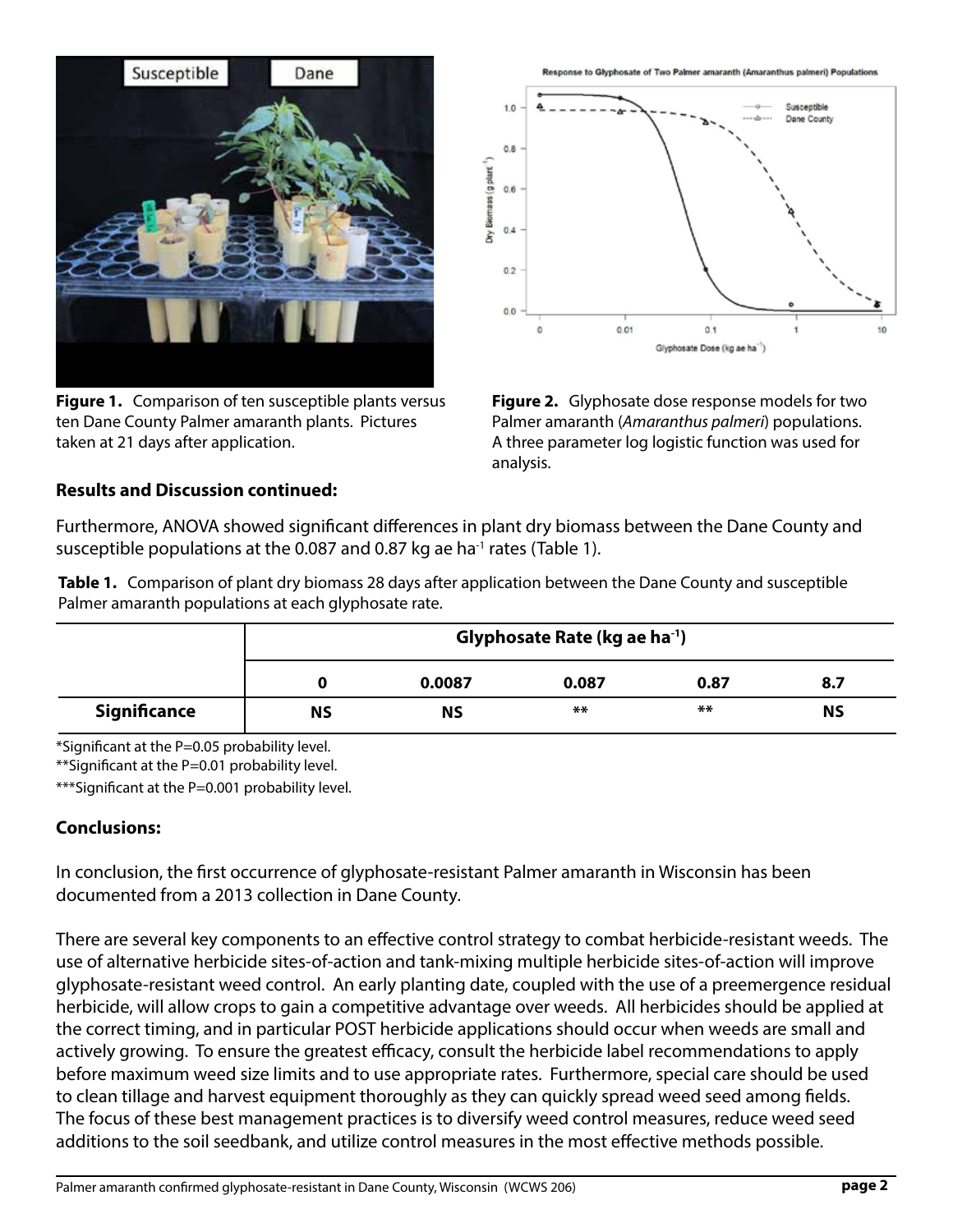

**Figure 1.** Comparison of ten susceptible plants versus ten Dane County Palmer amaranth plants. Pictures taken at 21 days after application.

Response to Glyphosate of Two Palmer amaranth (Amaranthus palmeri) Populations



**Figure 2.** Glyphosate dose response models for two Palmer amaranth (*Amaranthus palmeri*) populations. A three parameter log logistic function was used for analysis.

#### **Results and Discussion continued:**

Furthermore, ANOVA showed significant differences in plant dry biomass between the Dane County and susceptible populations at the 0.087 and 0.87 kg ae ha<sup>-1</sup> rates (Table 1).

**Table 1.** Comparison of plant dry biomass 28 days after application between the Dane County and susceptible Palmer amaranth populations at each glyphosate rate.

|                     | Glyphosate Rate (kg ae ha <sup>-1</sup> ) |        |       |      |           |
|---------------------|-------------------------------------------|--------|-------|------|-----------|
|                     |                                           | 0.0087 | 0.087 | 0.87 | 8.7       |
| <b>Significance</b> | ΝS                                        | ΝS     | $**$  | $**$ | <b>NS</b> |

\*Significant at the P=0.05 probability level.

\*\*Significant at the P=0.01 probability level.

\*\*\*Significant at the P=0.001 probability level.

#### **Conclusions:**

In conclusion, the first occurrence of glyphosate-resistant Palmer amaranth in Wisconsin has been documented from a 2013 collection in Dane County.

There are several key components to an effective control strategy to combat herbicide-resistant weeds. The use of alternative herbicide sites-of-action and tank-mixing multiple herbicide sites-of-action will improve glyphosate-resistant weed control. An early planting date, coupled with the use of a preemergence residual herbicide, will allow crops to gain a competitive advantage over weeds. All herbicides should be applied at the correct timing, and in particular POST herbicide applications should occur when weeds are small and actively growing. To ensure the greatest efficacy, consult the herbicide label recommendations to apply before maximum weed size limits and to use appropriate rates. Furthermore, special care should be used to clean tillage and harvest equipment thoroughly as they can quickly spread weed seed among fields. The focus of these best management practices is to diversify weed control measures, reduce weed seed additions to the soil seedbank, and utilize control measures in the most effective methods possible.